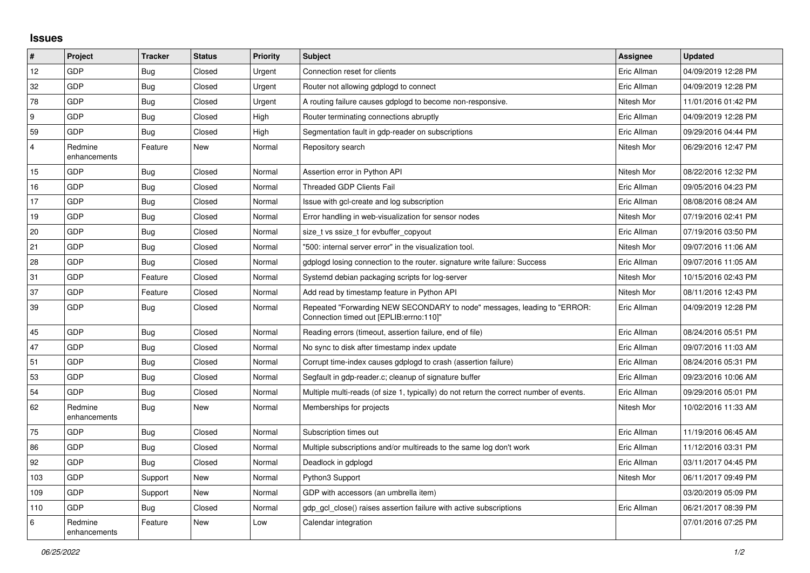## **Issues**

| $\#$           | Project                 | <b>Tracker</b> | <b>Status</b> | <b>Priority</b> | <b>Subject</b>                                                                                                      | Assignee    | <b>Updated</b>      |
|----------------|-------------------------|----------------|---------------|-----------------|---------------------------------------------------------------------------------------------------------------------|-------------|---------------------|
| 12             | GDP                     | <b>Bug</b>     | Closed        | Urgent          | Connection reset for clients                                                                                        | Eric Allman | 04/09/2019 12:28 PM |
| 32             | GDP                     | <b>Bug</b>     | Closed        | Urgent          | Router not allowing gdplogd to connect                                                                              | Eric Allman | 04/09/2019 12:28 PM |
| 78             | GDP                     | Bug            | Closed        | Urgent          | A routing failure causes gdplogd to become non-responsive.                                                          | Nitesh Mor  | 11/01/2016 01:42 PM |
| 9              | GDP                     | <b>Bug</b>     | Closed        | High            | Router terminating connections abruptly                                                                             | Eric Allman | 04/09/2019 12:28 PM |
| 59             | GDP                     | Bug            | Closed        | High            | Segmentation fault in gdp-reader on subscriptions                                                                   | Eric Allman | 09/29/2016 04:44 PM |
| $\overline{4}$ | Redmine<br>enhancements | Feature        | New           | Normal          | Repository search                                                                                                   | Nitesh Mor  | 06/29/2016 12:47 PM |
| 15             | GDP                     | Bug            | Closed        | Normal          | Assertion error in Python API                                                                                       | Nitesh Mor  | 08/22/2016 12:32 PM |
| 16             | <b>GDP</b>              | <b>Bug</b>     | Closed        | Normal          | <b>Threaded GDP Clients Fail</b>                                                                                    | Eric Allman | 09/05/2016 04:23 PM |
| 17             | GDP                     | <b>Bug</b>     | Closed        | Normal          | Issue with gcl-create and log subscription                                                                          | Eric Allman | 08/08/2016 08:24 AM |
| 19             | GDP                     | <b>Bug</b>     | Closed        | Normal          | Error handling in web-visualization for sensor nodes                                                                | Nitesh Mor  | 07/19/2016 02:41 PM |
| 20             | GDP                     | Bug            | Closed        | Normal          | size t vs ssize t for evbuffer copyout                                                                              | Eric Allman | 07/19/2016 03:50 PM |
| 21             | GDP                     | <b>Bug</b>     | Closed        | Normal          | "500: internal server error" in the visualization tool.                                                             | Nitesh Mor  | 09/07/2016 11:06 AM |
| 28             | GDP                     | Bug            | Closed        | Normal          | gdplogd losing connection to the router, signature write failure: Success                                           | Eric Allman | 09/07/2016 11:05 AM |
| 31             | GDP                     | Feature        | Closed        | Normal          | Systemd debian packaging scripts for log-server                                                                     | Nitesh Mor  | 10/15/2016 02:43 PM |
| 37             | <b>GDP</b>              | Feature        | Closed        | Normal          | Add read by timestamp feature in Python API                                                                         | Nitesh Mor  | 08/11/2016 12:43 PM |
| 39             | GDP                     | <b>Bug</b>     | Closed        | Normal          | Repeated "Forwarding NEW SECONDARY to node" messages, leading to "ERROR:<br>Connection timed out [EPLIB:errno:110]" | Eric Allman | 04/09/2019 12:28 PM |
| 45             | GDP                     | Bug            | Closed        | Normal          | Reading errors (timeout, assertion failure, end of file)                                                            | Eric Allman | 08/24/2016 05:51 PM |
| 47             | GDP                     | Bug            | Closed        | Normal          | No sync to disk after timestamp index update                                                                        | Eric Allman | 09/07/2016 11:03 AM |
| 51             | GDP                     | Bug            | Closed        | Normal          | Corrupt time-index causes gdplogd to crash (assertion failure)                                                      | Eric Allman | 08/24/2016 05:31 PM |
| 53             | <b>GDP</b>              | <b>Bug</b>     | Closed        | Normal          | Segfault in gdp-reader.c; cleanup of signature buffer                                                               | Eric Allman | 09/23/2016 10:06 AM |
| 54             | <b>GDP</b>              | <b>Bug</b>     | Closed        | Normal          | Multiple multi-reads (of size 1, typically) do not return the correct number of events.                             | Eric Allman | 09/29/2016 05:01 PM |
| 62             | Redmine<br>enhancements | <b>Bug</b>     | New           | Normal          | Memberships for projects                                                                                            | Nitesh Mor  | 10/02/2016 11:33 AM |
| 75             | GDP                     | <b>Bug</b>     | Closed        | Normal          | Subscription times out                                                                                              | Eric Allman | 11/19/2016 06:45 AM |
| 86             | GDP                     | <b>Bug</b>     | Closed        | Normal          | Multiple subscriptions and/or multireads to the same log don't work                                                 | Eric Allman | 11/12/2016 03:31 PM |
| 92             | GDP                     | Bug            | Closed        | Normal          | Deadlock in gdplogd                                                                                                 | Eric Allman | 03/11/2017 04:45 PM |
| 103            | GDP                     | Support        | <b>New</b>    | Normal          | Python3 Support                                                                                                     | Nitesh Mor  | 06/11/2017 09:49 PM |
| 109            | GDP                     | Support        | <b>New</b>    | Normal          | GDP with accessors (an umbrella item)                                                                               |             | 03/20/2019 05:09 PM |
| 110            | <b>GDP</b>              | Bug            | Closed        | Normal          | gdp_gcl_close() raises assertion failure with active subscriptions                                                  | Eric Allman | 06/21/2017 08:39 PM |
| 6              | Redmine<br>enhancements | Feature        | New           | Low             | Calendar integration                                                                                                |             | 07/01/2016 07:25 PM |